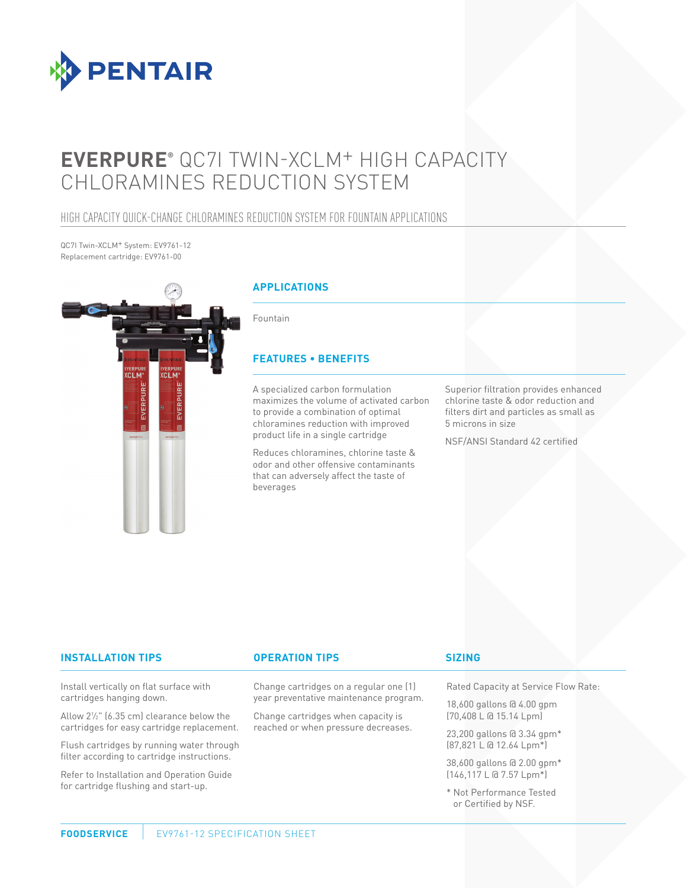

# **EVERPURE®** QC7I TWIN-XCLM+ HIGH CAPACITY CHLORAMINES REDUCTION SYSTEM

### HIGH CAPACITY QUICK-CHANGE CHLORAMINES REDUCTION SYSTEM FOR FOUNTAIN APPLICATIONS

QC7I Twin-XCLM+ System: EV9761-12 Replacement cartridge: EV9761-00



#### **INSTALLATION TIPS OPERATION TIPS**

Install vertically on flat surface with cartridges hanging down.

Allow 21 ⁄2" (6.35 cm) clearance below the cartridges for easy cartridge replacement.

Flush cartridges by running water through filter according to cartridge instructions.

Refer to Installation and Operation Guide for cartridge flushing and start-up.

Change cartridges on a regular one (1) year preventative maintenance program.

Change cartridges when capacity is reached or when pressure decreases.

#### **SIZING**

Rated Capacity at Service Flow Rate:

18,600 gallons @ 4.00 gpm (70,408 L @ 15.14 Lpm)

23,200 gallons @ 3.34 gpm\* (87,821 L @ 12.64 Lpm\*)

38,600 gallons @ 2.00 gpm\* (146,117 L @ 7.57 Lpm\*)

\* Not Performance Tested or Certified by NSF.